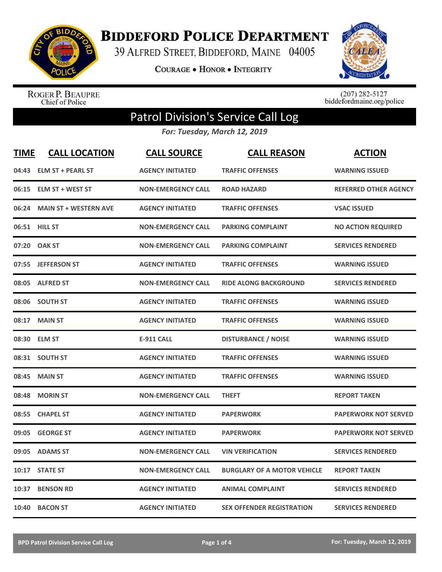

**BIDDEFORD POLICE DEPARTMENT** 

39 ALFRED STREET, BIDDEFORD, MAINE 04005

**COURAGE . HONOR . INTEGRITY** 



ROGER P. BEAUPRE<br>Chief of Police

 $(207)$  282-5127<br>biddefordmaine.org/police

## Patrol Division's Service Call Log

*For: Tuesday, March 12, 2019*

| <b>TIME</b> | <b>CALL LOCATION</b>         | <b>CALL SOURCE</b>        | <b>CALL REASON</b>                 | <b>ACTION</b>                |
|-------------|------------------------------|---------------------------|------------------------------------|------------------------------|
|             | 04:43 ELM ST + PEARL ST      | <b>AGENCY INITIATED</b>   | <b>TRAFFIC OFFENSES</b>            | <b>WARNING ISSUED</b>        |
|             | 06:15 ELM ST + WEST ST       | <b>NON-EMERGENCY CALL</b> | <b>ROAD HAZARD</b>                 | <b>REFERRED OTHER AGENCY</b> |
| 06:24       | <b>MAIN ST + WESTERN AVE</b> | <b>AGENCY INITIATED</b>   | <b>TRAFFIC OFFENSES</b>            | <b>VSAC ISSUED</b>           |
|             | 06:51 HILL ST                | <b>NON-EMERGENCY CALL</b> | <b>PARKING COMPLAINT</b>           | <b>NO ACTION REQUIRED</b>    |
| 07:20       | <b>OAK ST</b>                | <b>NON-EMERGENCY CALL</b> | <b>PARKING COMPLAINT</b>           | <b>SERVICES RENDERED</b>     |
|             | 07:55 JEFFERSON ST           | <b>AGENCY INITIATED</b>   | <b>TRAFFIC OFFENSES</b>            | <b>WARNING ISSUED</b>        |
|             | 08:05 ALFRED ST              | <b>NON-EMERGENCY CALL</b> | <b>RIDE ALONG BACKGROUND</b>       | <b>SERVICES RENDERED</b>     |
| 08:06       | <b>SOUTH ST</b>              | <b>AGENCY INITIATED</b>   | <b>TRAFFIC OFFENSES</b>            | <b>WARNING ISSUED</b>        |
| 08:17       | <b>MAIN ST</b>               | <b>AGENCY INITIATED</b>   | <b>TRAFFIC OFFENSES</b>            | <b>WARNING ISSUED</b>        |
| 08:30       | <b>ELM ST</b>                | <b>E-911 CALL</b>         | <b>DISTURBANCE / NOISE</b>         | <b>WARNING ISSUED</b>        |
|             | 08:31 SOUTH ST               | <b>AGENCY INITIATED</b>   | <b>TRAFFIC OFFENSES</b>            | <b>WARNING ISSUED</b>        |
| 08:45       | <b>MAIN ST</b>               | <b>AGENCY INITIATED</b>   | <b>TRAFFIC OFFENSES</b>            | <b>WARNING ISSUED</b>        |
| 08:48       | <b>MORIN ST</b>              | <b>NON-EMERGENCY CALL</b> | <b>THEFT</b>                       | <b>REPORT TAKEN</b>          |
| 08:55       | <b>CHAPEL ST</b>             | <b>AGENCY INITIATED</b>   | <b>PAPERWORK</b>                   | <b>PAPERWORK NOT SERVED</b>  |
| 09:05       | <b>GEORGE ST</b>             | <b>AGENCY INITIATED</b>   | <b>PAPERWORK</b>                   | <b>PAPERWORK NOT SERVED</b>  |
| 09:05       | <b>ADAMS ST</b>              | <b>NON-EMERGENCY CALL</b> | <b>VIN VERIFICATION</b>            | <b>SERVICES RENDERED</b>     |
| 10:17       | <b>STATE ST</b>              | <b>NON-EMERGENCY CALL</b> | <b>BURGLARY OF A MOTOR VEHICLE</b> | <b>REPORT TAKEN</b>          |
| 10:37       | <b>BENSON RD</b>             | <b>AGENCY INITIATED</b>   | <b>ANIMAL COMPLAINT</b>            | <b>SERVICES RENDERED</b>     |
| 10:40       | <b>BACON ST</b>              | <b>AGENCY INITIATED</b>   | <b>SEX OFFENDER REGISTRATION</b>   | <b>SERVICES RENDERED</b>     |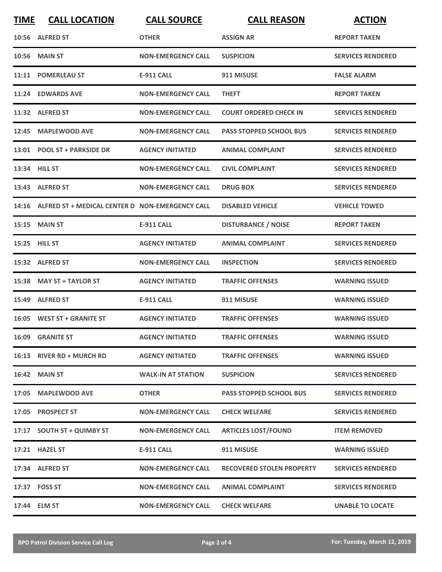| <b>TIME</b> | <b>CALL LOCATION</b>                                  | <b>CALL SOURCE</b>        | <b>CALL REASON</b>               | <b>ACTION</b>            |
|-------------|-------------------------------------------------------|---------------------------|----------------------------------|--------------------------|
|             | 10:56 ALFRED ST                                       | <b>OTHER</b>              | ASSIGN AR                        | <b>REPORT TAKEN</b>      |
|             | <b>10:56 MAIN ST</b>                                  | <b>NON-EMERGENCY CALL</b> | <b>SUSPICION</b>                 | <b>SERVICES RENDERED</b> |
|             | 11:11 POMERLEAU ST                                    | <b>E-911 CALL</b>         | 911 MISUSE                       | <b>FALSE ALARM</b>       |
|             | 11:24 EDWARDS AVE                                     | <b>NON-EMERGENCY CALL</b> | <b>THEFT</b>                     | <b>REPORT TAKEN</b>      |
|             | 11:32 ALFRED ST                                       | <b>NON-EMERGENCY CALL</b> | <b>COURT ORDERED CHECK IN</b>    | <b>SERVICES RENDERED</b> |
|             | 12:45 MAPLEWOOD AVE                                   | <b>NON-EMERGENCY CALL</b> | <b>PASS STOPPED SCHOOL BUS</b>   | <b>SERVICES RENDERED</b> |
|             | 13:01 POOL ST + PARKSIDE DR                           | <b>AGENCY INITIATED</b>   | <b>ANIMAL COMPLAINT</b>          | <b>SERVICES RENDERED</b> |
|             | 13:34 HILL ST                                         | <b>NON-EMERGENCY CALL</b> | <b>CIVIL COMPLAINT</b>           | <b>SERVICES RENDERED</b> |
|             | 13:43 ALFRED ST                                       | <b>NON-EMERGENCY CALL</b> | <b>DRUG BOX</b>                  | <b>SERVICES RENDERED</b> |
|             | 14:16 ALFRED ST + MEDICAL CENTER D NON-EMERGENCY CALL |                           | <b>DISABLED VEHICLE</b>          | <b>VEHICLE TOWED</b>     |
|             | <b>15:15 MAIN ST</b>                                  | <b>E-911 CALL</b>         | <b>DISTURBANCE / NOISE</b>       | <b>REPORT TAKEN</b>      |
|             | 15:25 HILL ST                                         | <b>AGENCY INITIATED</b>   | <b>ANIMAL COMPLAINT</b>          | <b>SERVICES RENDERED</b> |
|             | 15:32 ALFRED ST                                       | <b>NON-EMERGENCY CALL</b> | <b>INSPECTION</b>                | <b>SERVICES RENDERED</b> |
| 15:38       | <b>MAY ST + TAYLOR ST</b>                             | <b>AGENCY INITIATED</b>   | <b>TRAFFIC OFFENSES</b>          | <b>WARNING ISSUED</b>    |
| 15:49       | <b>ALFRED ST</b>                                      | <b>E-911 CALL</b>         | 911 MISUSE                       | <b>WARNING ISSUED</b>    |
|             | 16:05 WEST ST + GRANITE ST                            | <b>AGENCY INITIATED</b>   | <b>TRAFFIC OFFENSES</b>          | <b>WARNING ISSUED</b>    |
|             | 16:09 GRANITE ST                                      | <b>AGENCY INITIATED</b>   | <b>TRAFFIC OFFENSES</b>          | <b>WARNING ISSUED</b>    |
|             | 16:13 RIVER RD + MURCH RD                             | <b>AGENCY INITIATED</b>   | <b>TRAFFIC OFFENSES</b>          | <b>WARNING ISSUED</b>    |
|             | <b>16:42 MAIN ST</b>                                  | <b>WALK-IN AT STATION</b> | <b>SUSPICION</b>                 | <b>SERVICES RENDERED</b> |
|             | 17:05 MAPLEWOOD AVE                                   | <b>OTHER</b>              | <b>PASS STOPPED SCHOOL BUS</b>   | <b>SERVICES RENDERED</b> |
|             | 17:05 PROSPECT ST                                     | <b>NON-EMERGENCY CALL</b> | <b>CHECK WELFARE</b>             | <b>SERVICES RENDERED</b> |
|             | 17:17 SOUTH ST + QUIMBY ST                            | <b>NON-EMERGENCY CALL</b> | <b>ARTICLES LOST/FOUND</b>       | <b>ITEM REMOVED</b>      |
|             | 17:21 HAZEL ST                                        | E-911 CALL                | 911 MISUSE                       | <b>WARNING ISSUED</b>    |
|             | 17:34 ALFRED ST                                       | <b>NON-EMERGENCY CALL</b> | <b>RECOVERED STOLEN PROPERTY</b> | <b>SERVICES RENDERED</b> |
|             | 17:37 FOSS ST                                         | <b>NON-EMERGENCY CALL</b> | <b>ANIMAL COMPLAINT</b>          | <b>SERVICES RENDERED</b> |
|             | 17:44 ELM ST                                          | <b>NON-EMERGENCY CALL</b> | <b>CHECK WELFARE</b>             | <b>UNABLE TO LOCATE</b>  |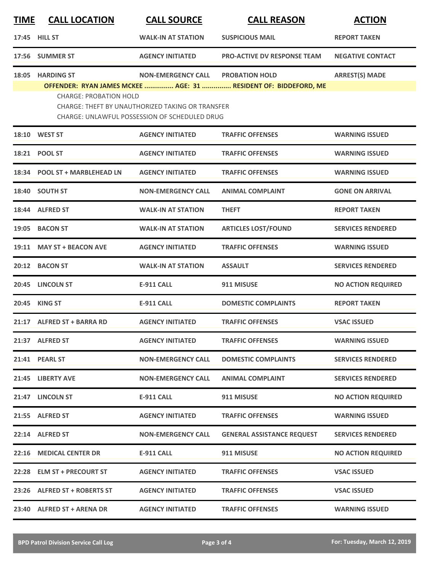| <u>TIME</u> | <b>CALL LOCATION</b>                                                                                                                                                                                                                                                                                             | <b>CALL SOURCE</b>        | <b>CALL REASON</b>                | <b>ACTION</b>             |  |  |  |
|-------------|------------------------------------------------------------------------------------------------------------------------------------------------------------------------------------------------------------------------------------------------------------------------------------------------------------------|---------------------------|-----------------------------------|---------------------------|--|--|--|
|             | 17:45 HILL ST                                                                                                                                                                                                                                                                                                    | <b>WALK-IN AT STATION</b> | <b>SUSPICIOUS MAIL</b>            | <b>REPORT TAKEN</b>       |  |  |  |
|             | 17:56 SUMMER ST                                                                                                                                                                                                                                                                                                  | <b>AGENCY INITIATED</b>   | PRO-ACTIVE DV RESPONSE TEAM       | <b>NEGATIVE CONTACT</b>   |  |  |  |
| 18:05       | <b>ARREST(S) MADE</b><br><b>HARDING ST</b><br><b>NON-EMERGENCY CALL</b><br><b>PROBATION HOLD</b><br>OFFENDER: RYAN JAMES MCKEE  AGE: 31  RESIDENT OF: BIDDEFORD, ME<br><b>CHARGE: PROBATION HOLD</b><br>CHARGE: THEFT BY UNAUTHORIZED TAKING OR TRANSFER<br><b>CHARGE: UNLAWFUL POSSESSION OF SCHEDULED DRUG</b> |                           |                                   |                           |  |  |  |
|             | 18:10 WEST ST                                                                                                                                                                                                                                                                                                    | <b>AGENCY INITIATED</b>   | <b>TRAFFIC OFFENSES</b>           | <b>WARNING ISSUED</b>     |  |  |  |
| 18:21       | <b>POOL ST</b>                                                                                                                                                                                                                                                                                                   | <b>AGENCY INITIATED</b>   | <b>TRAFFIC OFFENSES</b>           | <b>WARNING ISSUED</b>     |  |  |  |
| 18:34       | <b>POOL ST + MARBLEHEAD LN</b>                                                                                                                                                                                                                                                                                   | <b>AGENCY INITIATED</b>   | <b>TRAFFIC OFFENSES</b>           | <b>WARNING ISSUED</b>     |  |  |  |
| 18:40       | <b>SOUTH ST</b>                                                                                                                                                                                                                                                                                                  | <b>NON-EMERGENCY CALL</b> | <b>ANIMAL COMPLAINT</b>           | <b>GONE ON ARRIVAL</b>    |  |  |  |
|             | 18:44 ALFRED ST                                                                                                                                                                                                                                                                                                  | <b>WALK-IN AT STATION</b> | <b>THEFT</b>                      | <b>REPORT TAKEN</b>       |  |  |  |
|             | 19:05 BACON ST                                                                                                                                                                                                                                                                                                   | <b>WALK-IN AT STATION</b> | <b>ARTICLES LOST/FOUND</b>        | <b>SERVICES RENDERED</b>  |  |  |  |
| 19:11       | <b>MAY ST + BEACON AVE</b>                                                                                                                                                                                                                                                                                       | <b>AGENCY INITIATED</b>   | <b>TRAFFIC OFFENSES</b>           | <b>WARNING ISSUED</b>     |  |  |  |
| 20:12       | <b>BACON ST</b>                                                                                                                                                                                                                                                                                                  | <b>WALK-IN AT STATION</b> | <b>ASSAULT</b>                    | <b>SERVICES RENDERED</b>  |  |  |  |
| 20:45       | <b>LINCOLN ST</b>                                                                                                                                                                                                                                                                                                | <b>E-911 CALL</b>         | 911 MISUSE                        | <b>NO ACTION REQUIRED</b> |  |  |  |
| 20:45       | <b>KING ST</b>                                                                                                                                                                                                                                                                                                   | <b>E-911 CALL</b>         | <b>DOMESTIC COMPLAINTS</b>        | <b>REPORT TAKEN</b>       |  |  |  |
|             | 21:17 ALFRED ST + BARRA RD                                                                                                                                                                                                                                                                                       | <b>AGENCY INITIATED</b>   | <b>TRAFFIC OFFENSES</b>           | <b>VSAC ISSUED</b>        |  |  |  |
|             | 21:37 ALFRED ST                                                                                                                                                                                                                                                                                                  | <b>AGENCY INITIATED</b>   | <b>TRAFFIC OFFENSES</b>           | <b>WARNING ISSUED</b>     |  |  |  |
|             | 21:41 PEARL ST                                                                                                                                                                                                                                                                                                   | <b>NON-EMERGENCY CALL</b> | <b>DOMESTIC COMPLAINTS</b>        | <b>SERVICES RENDERED</b>  |  |  |  |
|             | 21:45 LIBERTY AVE                                                                                                                                                                                                                                                                                                | <b>NON-EMERGENCY CALL</b> | <b>ANIMAL COMPLAINT</b>           | <b>SERVICES RENDERED</b>  |  |  |  |
|             | 21:47 LINCOLN ST                                                                                                                                                                                                                                                                                                 | <b>E-911 CALL</b>         | 911 MISUSE                        | <b>NO ACTION REQUIRED</b> |  |  |  |
|             | 21:55 ALFRED ST                                                                                                                                                                                                                                                                                                  | <b>AGENCY INITIATED</b>   | <b>TRAFFIC OFFENSES</b>           | <b>WARNING ISSUED</b>     |  |  |  |
|             | 22:14 ALFRED ST                                                                                                                                                                                                                                                                                                  | <b>NON-EMERGENCY CALL</b> | <b>GENERAL ASSISTANCE REQUEST</b> | <b>SERVICES RENDERED</b>  |  |  |  |
|             | 22:16 MEDICAL CENTER DR                                                                                                                                                                                                                                                                                          | <b>E-911 CALL</b>         | 911 MISUSE                        | <b>NO ACTION REQUIRED</b> |  |  |  |
|             | 22:28 ELM ST + PRECOURT ST                                                                                                                                                                                                                                                                                       | <b>AGENCY INITIATED</b>   | <b>TRAFFIC OFFENSES</b>           | <b>VSAC ISSUED</b>        |  |  |  |
|             | 23:26 ALFRED ST + ROBERTS ST                                                                                                                                                                                                                                                                                     | <b>AGENCY INITIATED</b>   | <b>TRAFFIC OFFENSES</b>           | <b>VSAC ISSUED</b>        |  |  |  |
|             | 23:40 ALFRED ST + ARENA DR                                                                                                                                                                                                                                                                                       | <b>AGENCY INITIATED</b>   | <b>TRAFFIC OFFENSES</b>           | <b>WARNING ISSUED</b>     |  |  |  |